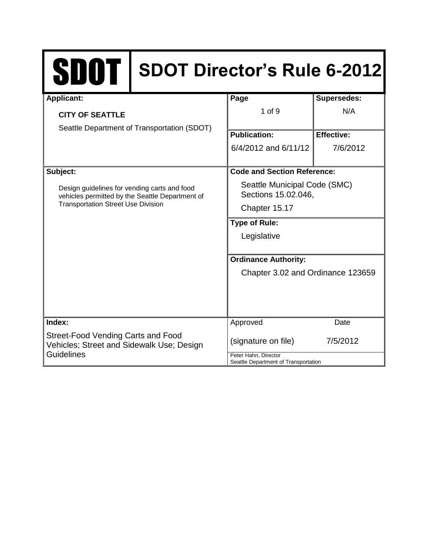# SDOT **SDOT Director's Rule 6-2012**

| <b>Applicant:</b>                                                                                                                            | Page                                                             | <b>Supersedes:</b> |
|----------------------------------------------------------------------------------------------------------------------------------------------|------------------------------------------------------------------|--------------------|
| <b>CITY OF SEATTLE</b>                                                                                                                       | 1 of 9                                                           | N/A                |
| Seattle Department of Transportation (SDOT)                                                                                                  |                                                                  |                    |
|                                                                                                                                              | <b>Publication:</b>                                              | <b>Effective:</b>  |
|                                                                                                                                              | 6/4/2012 and 6/11/12                                             | 7/6/2012           |
|                                                                                                                                              |                                                                  |                    |
| Subject:                                                                                                                                     | <b>Code and Section Reference:</b>                               |                    |
| Design guidelines for vending carts and food<br>vehicles permitted by the Seattle Department of<br><b>Transportation Street Use Division</b> | Seattle Municipal Code (SMC)<br>Sections 15.02.046,              |                    |
|                                                                                                                                              | Chapter 15.17                                                    |                    |
|                                                                                                                                              | <b>Type of Rule:</b>                                             |                    |
|                                                                                                                                              | Legislative                                                      |                    |
|                                                                                                                                              |                                                                  |                    |
|                                                                                                                                              | <b>Ordinance Authority:</b><br>Chapter 3.02 and Ordinance 123659 |                    |
|                                                                                                                                              |                                                                  |                    |
|                                                                                                                                              |                                                                  |                    |
|                                                                                                                                              |                                                                  |                    |
|                                                                                                                                              |                                                                  |                    |
| Index:                                                                                                                                       | Approved                                                         | Date               |
| Street-Food Vending Carts and Food<br>Vehicles; Street and Sidewalk Use; Design<br><b>Guidelines</b>                                         | (signature on file)                                              | 7/5/2012           |
|                                                                                                                                              | Peter Hahn, Director<br>Seattle Department of Transportation     |                    |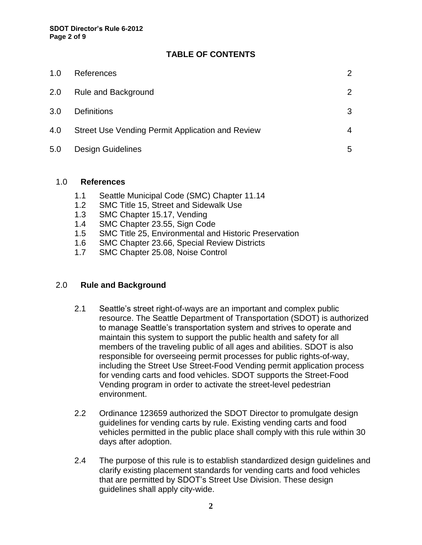# **TABLE OF CONTENTS**

| 1.0 | References                                       |   |
|-----|--------------------------------------------------|---|
| 2.0 | <b>Rule and Background</b>                       | 2 |
| 3.0 | <b>Definitions</b>                               | 3 |
| 4.0 | Street Use Vending Permit Application and Review | 4 |
| 5.0 | <b>Design Guidelines</b>                         | 5 |
|     |                                                  |   |

#### 1.0 **References**

- 1.1 Seattle Municipal Code (SMC) Chapter 11.14
- 1.2 SMC Title 15, Street and Sidewalk Use
- 1.3 SMC Chapter 15.17, Vending
- 1.4 SMC Chapter 23.55, Sign Code
- 1.5 SMC Title 25, Environmental and Historic Preservation
- 1.6 SMC Chapter 23.66, Special Review Districts
- 1.7 SMC Chapter 25.08, Noise Control

### 2.0 **Rule and Background**

- 2.1 Seattle's street right-of-ways are an important and complex public resource. The Seattle Department of Transportation (SDOT) is authorized to manage Seattle's transportation system and strives to operate and maintain this system to support the public health and safety for all members of the traveling public of all ages and abilities. SDOT is also responsible for overseeing permit processes for public rights-of-way, including the Street Use Street-Food Vending permit application process for vending carts and food vehicles. SDOT supports the Street-Food Vending program in order to activate the street-level pedestrian environment.
- 2.2 Ordinance 123659 authorized the SDOT Director to promulgate design guidelines for vending carts by rule. Existing vending carts and food vehicles permitted in the public place shall comply with this rule within 30 days after adoption.
- 2.4 The purpose of this rule is to establish standardized design guidelines and clarify existing placement standards for vending carts and food vehicles that are permitted by SDOT's Street Use Division. These design guidelines shall apply city-wide.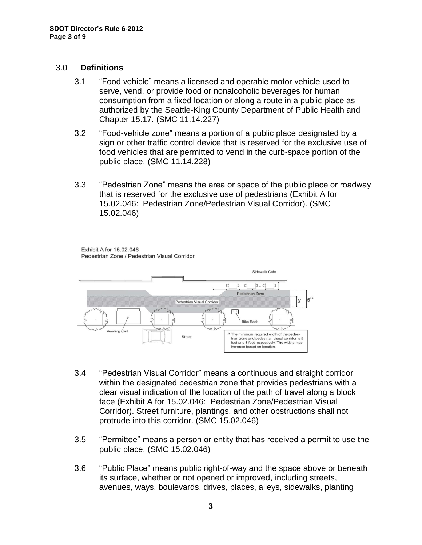#### 3.0 **Definitions**

- 3.1 "Food vehicle" means a licensed and operable motor vehicle used to serve, vend, or provide food or nonalcoholic beverages for human consumption from a fixed location or along a route in a public place as authorized by the Seattle-King County Department of Public Health and Chapter 15.17. (SMC 11.14.227)
- 3.2 "Food-vehicle zone" means a portion of a public place designated by a sign or other traffic control device that is reserved for the exclusive use of food vehicles that are permitted to vend in the curb-space portion of the public place. (SMC 11.14.228)
- 3.3 "Pedestrian Zone" means the area or space of the public place or roadway that is reserved for the exclusive use of pedestrians (Exhibit A for 15.02.046: Pedestrian Zone/Pedestrian Visual Corridor). (SMC 15.02.046)

Exhibit A for 15.02.046 Pedestrian Zone / Pedestrian Visual Corridor



- 3.4 "Pedestrian Visual Corridor" means a continuous and straight corridor within the designated pedestrian zone that provides pedestrians with a clear visual indication of the location of the path of travel along a block face (Exhibit A for 15.02.046: Pedestrian Zone/Pedestrian Visual Corridor). Street furniture, plantings, and other obstructions shall not protrude into this corridor. (SMC 15.02.046)
- 3.5 "Permittee" means a person or entity that has received a permit to use the public place. (SMC 15.02.046)
- 3.6 "Public Place" means public right-of-way and the space above or beneath its surface, whether or not opened or improved, including streets, avenues, ways, boulevards, drives, places, alleys, sidewalks, planting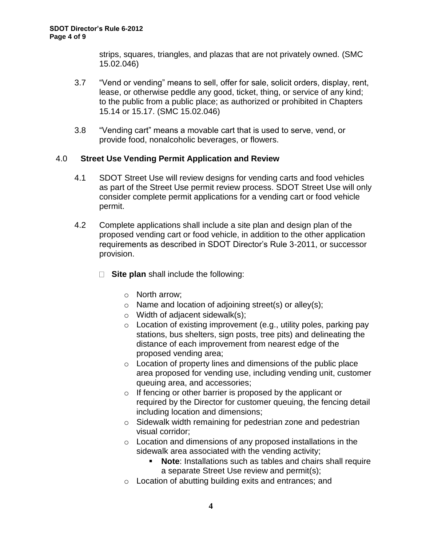strips, squares, triangles, and plazas that are not privately owned. (SMC 15.02.046)

- 3.7 "Vend or vending" means to sell, offer for sale, solicit orders, display, rent, lease, or otherwise peddle any good, ticket, thing, or service of any kind; to the public from a public place; as authorized or prohibited in Chapters 15.14 or 15.17. (SMC 15.02.046)
- 3.8 "Vending cart" means a movable cart that is used to serve, vend, or provide food, nonalcoholic beverages, or flowers.

# 4.0 **Street Use Vending Permit Application and Review**

- 4.1 SDOT Street Use will review designs for vending carts and food vehicles as part of the Street Use permit review process. SDOT Street Use will only consider complete permit applications for a vending cart or food vehicle permit.
- 4.2 Complete applications shall include a site plan and design plan of the proposed vending cart or food vehicle, in addition to the other application requirements as described in SDOT Director's Rule 3-2011, or successor provision.
	- **Site plan** shall include the following:
		- o North arrow;
		- o Name and location of adjoining street(s) or alley(s);
		- o Width of adjacent sidewalk(s);
		- $\circ$  Location of existing improvement (e.g., utility poles, parking pay stations, bus shelters, sign posts, tree pits) and delineating the distance of each improvement from nearest edge of the proposed vending area;
		- o Location of property lines and dimensions of the public place area proposed for vending use, including vending unit, customer queuing area, and accessories;
		- o If fencing or other barrier is proposed by the applicant or required by the Director for customer queuing, the fencing detail including location and dimensions;
		- o Sidewalk width remaining for pedestrian zone and pedestrian visual corridor;
		- o Location and dimensions of any proposed installations in the sidewalk area associated with the vending activity;
			- **Note**: Installations such as tables and chairs shall require a separate Street Use review and permit(s);
		- o Location of abutting building exits and entrances; and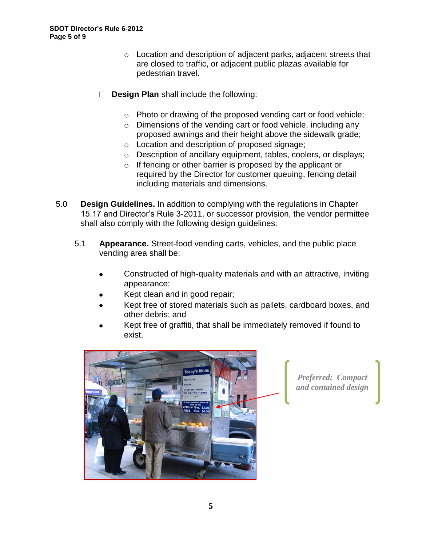- o Location and description of adjacent parks, adjacent streets that are closed to traffic, or adjacent public plazas available for pedestrian travel.
- **Design Plan** shall include the following:  $\Box$ 
	- o Photo or drawing of the proposed vending cart or food vehicle;
	- o Dimensions of the vending cart or food vehicle, including any proposed awnings and their height above the sidewalk grade;
	- o Location and description of proposed signage;
	- o Description of ancillary equipment, tables, coolers, or displays;
	- o If fencing or other barrier is proposed by the applicant or required by the Director for customer queuing, fencing detail including materials and dimensions.
- 5.0 **Design Guidelines.** In addition to complying with the regulations in Chapter 15.17 and Director's Rule 3-2011, or successor provision, the vendor permittee shall also comply with the following design guidelines:
	- 5.1 **Appearance.** Street-food vending carts, vehicles, and the public place vending area shall be:
		- Constructed of high-quality materials and with an attractive, inviting appearance;
		- Kept clean and in good repair;
		- Kept free of stored materials such as pallets, cardboard boxes, and other debris; and
		- Kept free of graffiti, that shall be immediately removed if found to exist.



*Preferred: Compact and contained design*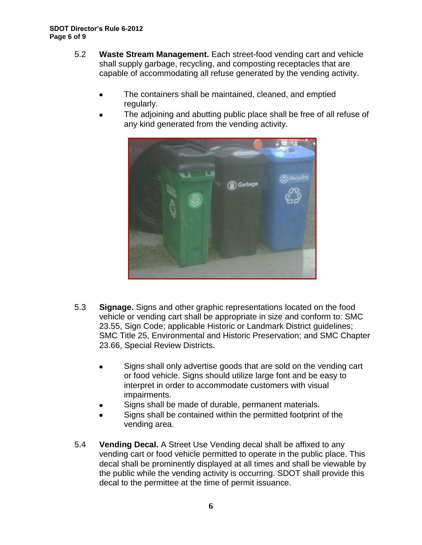- 5.2 **Waste Stream Management.** Each street-food vending cart and vehicle shall supply garbage, recycling, and composting receptacles that are capable of accommodating all refuse generated by the vending activity.
	- The containers shall be maintained, cleaned, and emptied regularly.
	- The adjoining and abutting public place shall be free of all refuse of any kind generated from the vending activity.



- 5.3 **Signage.** Signs and other graphic representations located on the food vehicle or vending cart shall be appropriate in size and conform to: SMC 23.55, Sign Code; applicable Historic or Landmark District guidelines; SMC Title 25, Environmental and Historic Preservation; and SMC Chapter 23.66, Special Review Districts.
	- Signs shall only advertise goods that are sold on the vending cart or food vehicle. Signs should utilize large font and be easy to interpret in order to accommodate customers with visual impairments.
	- Signs shall be made of durable, permanent materials.
	- Signs shall be contained within the permitted footprint of the vending area.
- 5.4 **Vending Decal.** A Street Use Vending decal shall be affixed to any vending cart or food vehicle permitted to operate in the public place. This decal shall be prominently displayed at all times and shall be viewable by the public while the vending activity is occurring. SDOT shall provide this decal to the permittee at the time of permit issuance.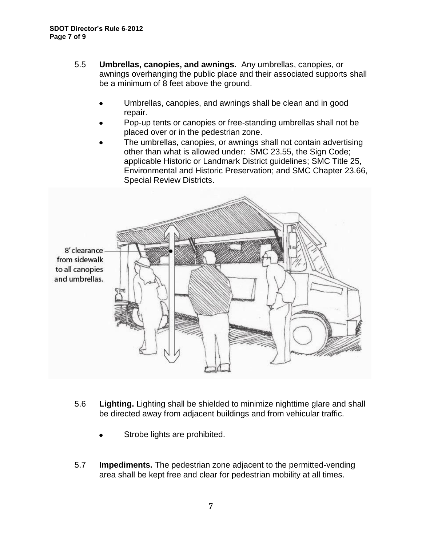- 5.5 **Umbrellas, canopies, and awnings.** Any umbrellas, canopies, or awnings overhanging the public place and their associated supports shall be a minimum of 8 feet above the ground.
	- Umbrellas, canopies, and awnings shall be clean and in good repair.
	- Pop-up tents or canopies or free-standing umbrellas shall not be placed over or in the pedestrian zone.
	- The umbrellas, canopies, or awnings shall not contain advertising other than what is allowed under: SMC 23.55, the Sign Code; applicable Historic or Landmark District guidelines; SMC Title 25, Environmental and Historic Preservation; and SMC Chapter 23.66, Special Review Districts.



- 5.6 **Lighting.** Lighting shall be shielded to minimize nighttime glare and shall be directed away from adjacent buildings and from vehicular traffic.
	- Strobe lights are prohibited.
- 5.7 **Impediments.** The pedestrian zone adjacent to the permitted-vending area shall be kept free and clear for pedestrian mobility at all times.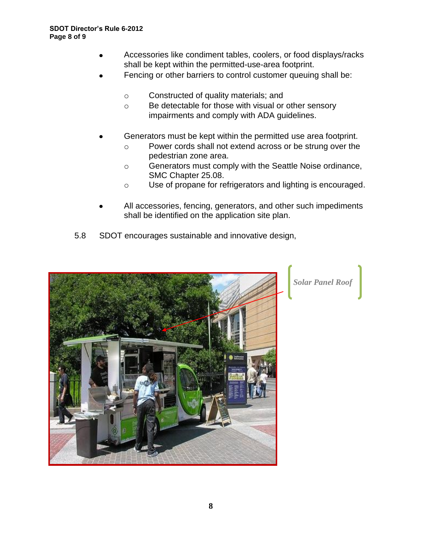- Accessories like condiment tables, coolers, or food displays/racks shall be kept within the permitted-use-area footprint.
- Fencing or other barriers to control customer queuing shall be:
	- o Constructed of quality materials; and
	- o Be detectable for those with visual or other sensory impairments and comply with ADA guidelines.
- Generators must be kept within the permitted use area footprint.
	- o Power cords shall not extend across or be strung over the pedestrian zone area.
	- o Generators must comply with the Seattle Noise ordinance, SMC Chapter 25.08.
	- o Use of propane for refrigerators and lighting is encouraged.
- All accessories, fencing, generators, and other such impediments shall be identified on the application site plan.
- 5.8 SDOT encourages sustainable and innovative design,



*Solar Panel Roof*